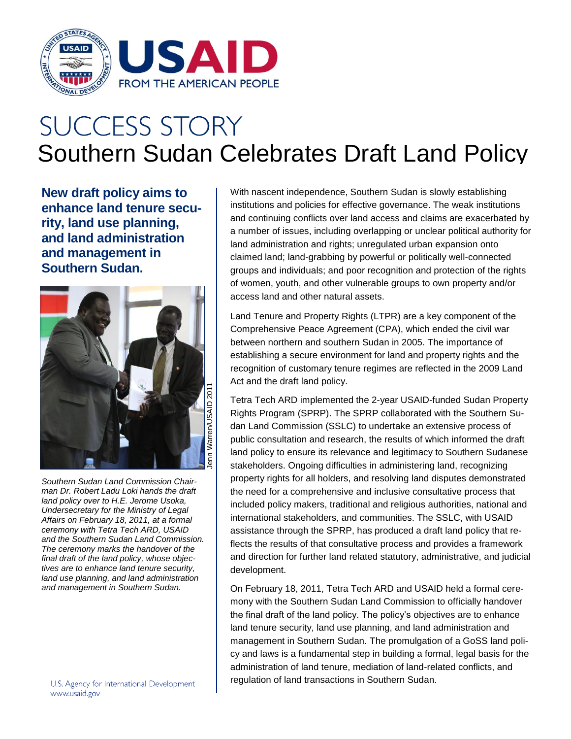

## **SUCCESS STORY** Southern Sudan Celebrates Draft Land Policy

**New draft policy aims to enhance land tenure security, land use planning, and land administration and management in Southern Sudan.**



*Southern Sudan Land Commission Chairman Dr. Robert Ladu Loki hands the draft land policy over to H.E. Jerome Usoka, Undersecretary for the Ministry of Legal Affairs on February 18, 2011, at a formal ceremony with Tetra Tech ARD, USAID and the Southern Sudan Land Commission. The ceremony marks the handover of the final draft of the land policy, whose objectives are to enhance land tenure security, land use planning, and land administration and management in Southern Sudan.*

With nascent independence, Southern Sudan is slowly establishing institutions and policies for effective governance. The weak institutions and continuing conflicts over land access and claims are exacerbated by a number of issues, including overlapping or unclear political authority for land administration and rights; unregulated urban expansion onto claimed land; land-grabbing by powerful or politically well-connected groups and individuals; and poor recognition and protection of the rights of women, youth, and other vulnerable groups to own property and/or access land and other natural assets.

Land Tenure and Property Rights (LTPR) are a key component of the Comprehensive Peace Agreement (CPA), which ended the civil war between northern and southern Sudan in 2005. The importance of establishing a secure environment for land and property rights and the recognition of customary tenure regimes are reflected in the 2009 Land Act and the draft land policy.

Tetra Tech ARD implemented the 2-year USAID-funded Sudan Property Rights Program (SPRP). The SPRP collaborated with the Southern Sudan Land Commission (SSLC) to undertake an extensive process of public consultation and research, the results of which informed the draft land policy to ensure its relevance and legitimacy to Southern Sudanese stakeholders. Ongoing difficulties in administering land, recognizing property rights for all holders, and resolving land disputes demonstrated the need for a comprehensive and inclusive consultative process that included policy makers, traditional and religious authorities, national and international stakeholders, and communities. The SSLC, with USAID assistance through the SPRP, has produced a draft land policy that reflects the results of that consultative process and provides a framework and direction for further land related statutory, administrative, and judicial development.

On February 18, 2011, Tetra Tech ARD and USAID held a formal ceremony with the Southern Sudan Land Commission to officially handover the final draft of the land policy. The policy's objectives are to enhance land tenure security, land use planning, and land administration and management in Southern Sudan. The promulgation of a GoSS land policy and laws is a fundamental step in building a formal, legal basis for the administration of land tenure, mediation of land-related conflicts, and regulation of land transactions in Southern Sudan.